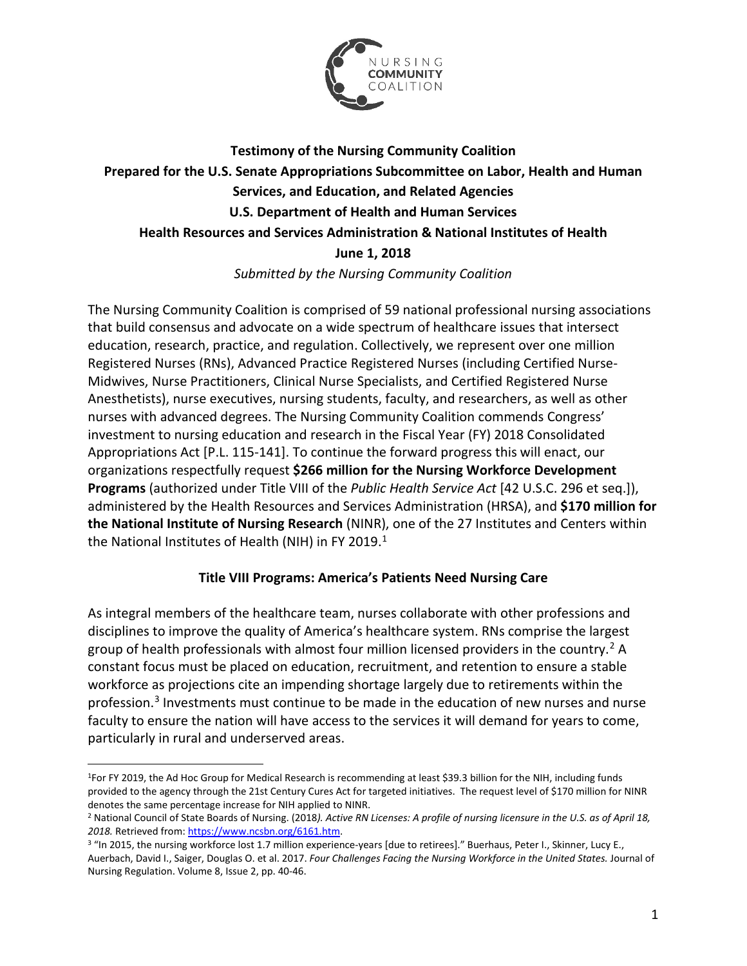

# **Testimony of the Nursing Community Coalition Prepared for the U.S. Senate Appropriations Subcommittee on Labor, Health and Human Services, and Education, and Related Agencies U.S. Department of Health and Human Services Health Resources and Services Administration & National Institutes of Health June 1, 2018** *Submitted by the Nursing Community Coalition*

The Nursing Community Coalition is comprised of 59 national professional nursing associations that build consensus and advocate on a wide spectrum of healthcare issues that intersect education, research, practice, and regulation. Collectively, we represent over one million Registered Nurses (RNs), Advanced Practice Registered Nurses (including Certified Nurse-Midwives, Nurse Practitioners, Clinical Nurse Specialists, and Certified Registered Nurse Anesthetists), nurse executives, nursing students, faculty, and researchers, as well as other nurses with advanced degrees. The Nursing Community Coalition commends Congress' investment to nursing education and research in the Fiscal Year (FY) 2018 Consolidated Appropriations Act [P.L. 115-141]. To continue the forward progress this will enact, our organizations respectfully request **\$266 million for the Nursing Workforce Development Programs** (authorized under Title VIII of the *Public Health Service Act* [42 U.S.C. 296 et seq.]), administered by the Health Resources and Services Administration (HRSA), and **\$170 million for the National Institute of Nursing Research** (NINR), one of the 27 Institutes and Centers within the National Institutes of Health (NIH) in FY 20[1](#page-0-0)9.<sup>1</sup>

### **Title VIII Programs: America's Patients Need Nursing Care**

As integral members of the healthcare team, nurses collaborate with other professions and disciplines to improve the quality of America's healthcare system. RNs comprise the largest group of health professionals with almost four million licensed providers in the country. [2](#page-0-1) A constant focus must be placed on education, recruitment, and retention to ensure a stable workforce as projections cite an impending shortage largely due to retirements within the profession.<sup>[3](#page-0-2)</sup> Investments must continue to be made in the education of new nurses and nurse faculty to ensure the nation will have access to the services it will demand for years to come, particularly in rural and underserved areas.

 $\overline{a}$ 

<span id="page-0-0"></span><sup>1</sup>For FY 2019, the Ad Hoc Group for Medical Research is recommending at least \$39.3 billion for the NIH, including funds provided to the agency through the 21st Century Cures Act for targeted initiatives. The request level of \$170 million for NINR denotes the same percentage increase for NIH applied to NINR.

<span id="page-0-1"></span><sup>2</sup> National Council of State Boards of Nursing. (2018*). Active RN Licenses: A profile of nursing licensure in the U.S. as of April 18, 2018.* Retrieved from[: https://www.ncsbn.org/6161.htm.](https://www.ncsbn.org/6161.htm)<br><sup>3 "</sup>In 2015, the nursing workforce lost 1.7 million experience-years [due to retirees]." Buerhaus, Peter I., Skinner, Lucy E.,

<span id="page-0-2"></span>Auerbach, David I., Saiger, Douglas O. et al. 2017. *Four Challenges Facing the Nursing Workforce in the United States.* Journal of Nursing Regulation. Volume 8, Issue 2, pp. 40-46.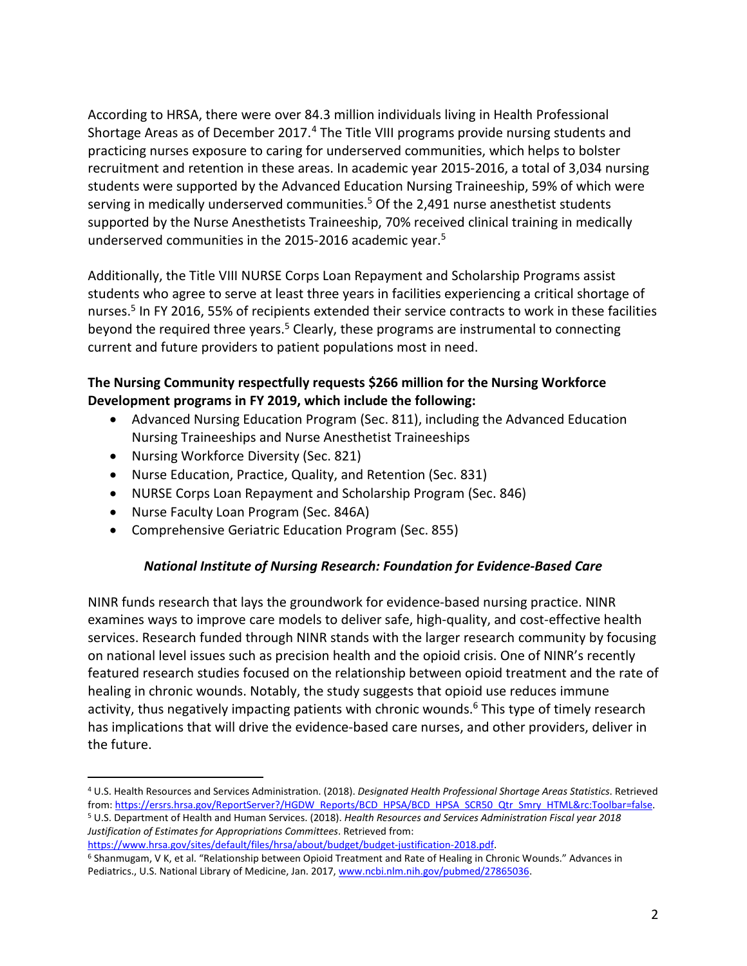According to HRSA, there were over 84.3 million individuals living in Health Professional Shortage Areas as of December 2017.<sup>[4](#page-1-0)</sup> The Title VIII programs provide nursing students and practicing nurses exposure to caring for underserved communities, which helps to bolster recruitment and retention in these areas. In academic year 2015-2016, a total of 3,034 nursing students were supported by the Advanced Education Nursing Traineeship, 59% of which were serving in medically underserved communities.<sup>5</sup> Of the 2,491 nurse anesthetist students supported by the Nurse Anesthetists Traineeship, 70% received clinical training in medically underserved communities in the 2015-2016 academic year.<sup>5</sup>

Additionally, the Title VIII NURSE Corps Loan Repayment and Scholarship Programs assist students who agree to serve at least three years in facilities experiencing a critical shortage of nurses. <sup>5</sup> In FY 2016, 55% of recipients extended their service contracts to work in these facilities beyond the required three years.<sup>5</sup> Clearly, these programs are instrumental to connecting current and future providers to patient populations most in need.

## **The Nursing Community respectfully requests \$266 million for the Nursing Workforce Development programs in FY 2019, which include the following:**

- Advanced Nursing Education Program (Sec. 811), including the Advanced Education Nursing Traineeships and Nurse Anesthetist Traineeships
- Nursing Workforce Diversity (Sec. 821)
- Nurse Education, Practice, Quality, and Retention (Sec. 831)
- NURSE Corps Loan Repayment and Scholarship Program (Sec. 846)
- Nurse Faculty Loan Program (Sec. 846A)

 $\overline{a}$ 

• Comprehensive Geriatric Education Program (Sec. 855)

### *National Institute of Nursing Research: Foundation for Evidence-Based Care*

NINR funds research that lays the groundwork for evidence-based nursing practice. NINR examines ways to improve care models to deliver safe, high-quality, and cost-effective health services. Research funded through NINR stands with the larger research community by focusing on national level issues such as precision health and the opioid crisis. One of NINR's recently featured research studies focused on the relationship between opioid treatment and the rate of healing in chronic wounds. Notably, the study suggests that opioid use reduces immune activity, thus negatively impacting patients with chronic wounds.<sup>6</sup> This type of timely research has implications that will drive the evidence-based care nurses, and other providers, deliver in the future.

<span id="page-1-0"></span><sup>4</sup> U.S. Health Resources and Services Administration. (2018). *Designated Health Professional Shortage Areas Statistics*. Retrieved from[: https://ersrs.hrsa.gov/ReportServer?/HGDW\\_Reports/BCD\\_HPSA/BCD\\_HPSA\\_SCR50\\_Qtr\\_Smry\\_HTML&rc:Toolbar=false](https://ersrs.hrsa.gov/ReportServer?/HGDW_Reports/BCD_HPSA/BCD_HPSA_SCR50_Qtr_Smry_HTML&rc:Toolbar=false).

<sup>5</sup> U.S. Department of Health and Human Services. (2018). *Health Resources and Services Administration Fiscal year 2018 Justification of Estimates for Appropriations Committees*. Retrieved from:

 $6$  Shanmugam, V K, et al. "Relationship between Opioid Treatment and Rate of Healing in Chronic Wounds." Advances in Pediatrics., U.S. National Library of Medicine, Jan. 2017, [www.ncbi.nlm.nih.gov/pubmed/27865036.](http://www.ncbi.nlm.nih.gov/pubmed/27865036)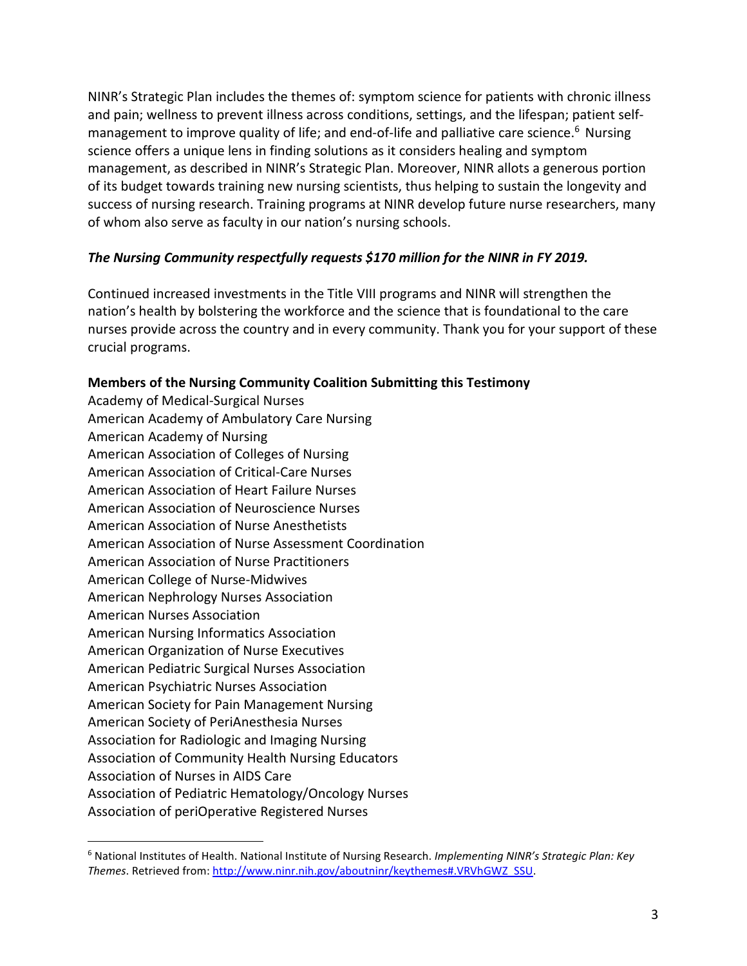NINR's Strategic Plan includes the themes of: symptom science for patients with chronic illness and pain; wellness to prevent illness across conditions, settings, and the lifespan; patient selfmanagement to improve quality of life; and end-of-life and palliative care science.<sup>6</sup> Nursing science offers a unique lens in finding solutions as it considers healing and symptom management, as described in NINR's Strategic Plan. Moreover, NINR allots a generous portion of its budget towards training new nursing scientists, thus helping to sustain the longevity and success of nursing research. Training programs at NINR develop future nurse researchers, many of whom also serve as faculty in our nation's nursing schools.

### *The Nursing Community respectfully requests \$170 million for the NINR in FY 2019.*

Continued increased investments in the Title VIII programs and NINR will strengthen the nation's health by bolstering the workforce and the science that is foundational to the care nurses provide across the country and in every community. Thank you for your support of these crucial programs.

#### **Members of the Nursing Community Coalition Submitting this Testimony**

Academy of Medical-Surgical Nurses American Academy of Ambulatory Care Nursing American Academy of Nursing American Association of Colleges of Nursing American Association of Critical-Care Nurses American Association of Heart Failure Nurses American Association of Neuroscience Nurses American Association of Nurse Anesthetists American Association of Nurse Assessment Coordination American Association of Nurse Practitioners American College of Nurse-Midwives American Nephrology Nurses Association American Nurses Association American Nursing Informatics Association American Organization of Nurse Executives American Pediatric Surgical Nurses Association American Psychiatric Nurses Association American Society for Pain Management Nursing American Society of PeriAnesthesia Nurses Association for Radiologic and Imaging Nursing Association of Community Health Nursing Educators Association of Nurses in AIDS Care Association of Pediatric Hematology/Oncology Nurses Association of periOperative Registered Nurses

 $\overline{a}$ 

<span id="page-2-0"></span><sup>6</sup> National Institutes of Health. National Institute of Nursing Research. *Implementing NINR's Strategic Plan: Key Themes*. Retrieved from[: http://www.ninr.nih.gov/aboutninr/keythemes#.VRVhGWZ\\_SSU.](http://www.ninr.nih.gov/aboutninr/keythemes#.VRVhGWZ_SSU)